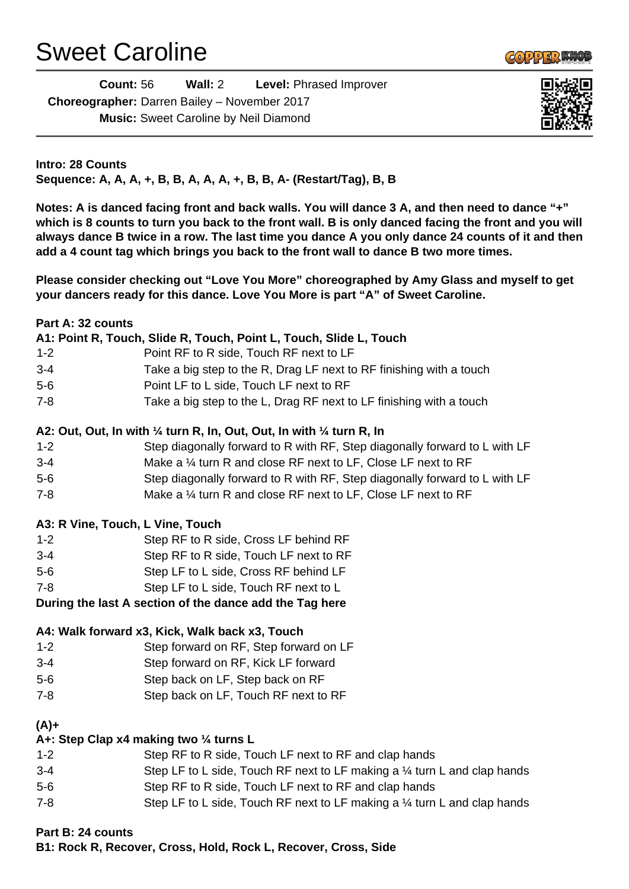## Sweet Caroline



| <b>Count: 56</b>                             | Wall: 2 | <b>Level: Phrased Improver</b> |  |  |
|----------------------------------------------|---------|--------------------------------|--|--|
| Choreographer: Darren Bailey - November 2017 |         |                                |  |  |
| <b>Music:</b> Sweet Caroline by Neil Diamond |         |                                |  |  |



**Intro: 28 Counts Sequence: A, A, A, +, B, B, A, A, A, +, B, B, A- (Restart/Tag), B, B**

**Notes: A is danced facing front and back walls. You will dance 3 A, and then need to dance "+" which is 8 counts to turn you back to the front wall. B is only danced facing the front and you will always dance B twice in a row. The last time you dance A you only dance 24 counts of it and then add a 4 count tag which brings you back to the front wall to dance B two more times.**

**Please consider checking out "Love You More" choreographed by Amy Glass and myself to get your dancers ready for this dance. Love You More is part "A" of Sweet Caroline.**

| Part A: 32 counts |                                                                                            |
|-------------------|--------------------------------------------------------------------------------------------|
|                   | A1: Point R, Touch, Slide R, Touch, Point L, Touch, Slide L, Touch                         |
| $1 - 2$           | Point RF to R side, Touch RF next to LF                                                    |
| $3 - 4$           | Take a big step to the R, Drag LF next to RF finishing with a touch                        |
| $5-6$             | Point LF to L side, Touch LF next to RF                                                    |
| $7 - 8$           | Take a big step to the L, Drag RF next to LF finishing with a touch                        |
|                   | A2: Out, Out, In with $\frac{1}{4}$ turn R, In, Out, Out, In with $\frac{1}{4}$ turn R, In |
| $1 - 2$           | Step diagonally forward to R with RF, Step diagonally forward to L with LF                 |
| $3 - 4$           | Make a 1/4 turn R and close RF next to LF, Close LF next to RF                             |
| $5-6$             | Step diagonally forward to R with RF, Step diagonally forward to L with LF                 |
| $7 - 8$           | Make a $\frac{1}{4}$ turn R and close RF next to LF, Close LF next to RF                   |
|                   | A3: R Vine, Touch, L Vine, Touch                                                           |
| $1 - 2$           | Step RF to R side, Cross LF behind RF                                                      |
| $3 - 4$           | Step RF to R side, Touch LF next to RF                                                     |
| $5-6$             | Step LF to L side, Cross RF behind LF                                                      |
| $7 - 8$           | Step LF to L side, Touch RF next to L                                                      |
|                   | During the last A section of the dance add the Tag here                                    |
|                   | A4: Walk forward x3, Kick, Walk back x3, Touch                                             |
| $1 - 2$           | Step forward on RF, Step forward on LF                                                     |
| $3 - 4$           | Step forward on RF, Kick LF forward                                                        |
| $5-6$             | Step back on LF, Step back on RF                                                           |
| $7 - 8$           | Step back on LF, Touch RF next to RF                                                       |
| $(A)+$            |                                                                                            |
|                   | A+: Step Clap x4 making two 1/4 turns L                                                    |
| $1 - 2$           | Step RF to R side, Touch LF next to RF and clap hands                                      |
| $3 - 4$           | Step LF to L side, Touch RF next to LF making a 1/4 turn L and clap hands                  |
| $5-6$             | Step RF to R side, Touch LF next to RF and clap hands                                      |
| $7 - 8$           | Step LF to L side, Touch RF next to LF making a 1/4 turn L and clap hands                  |
| Part B: 24 counts |                                                                                            |
|                   | B1: Rock R, Recover, Cross, Hold, Rock L, Recover, Cross, Side                             |